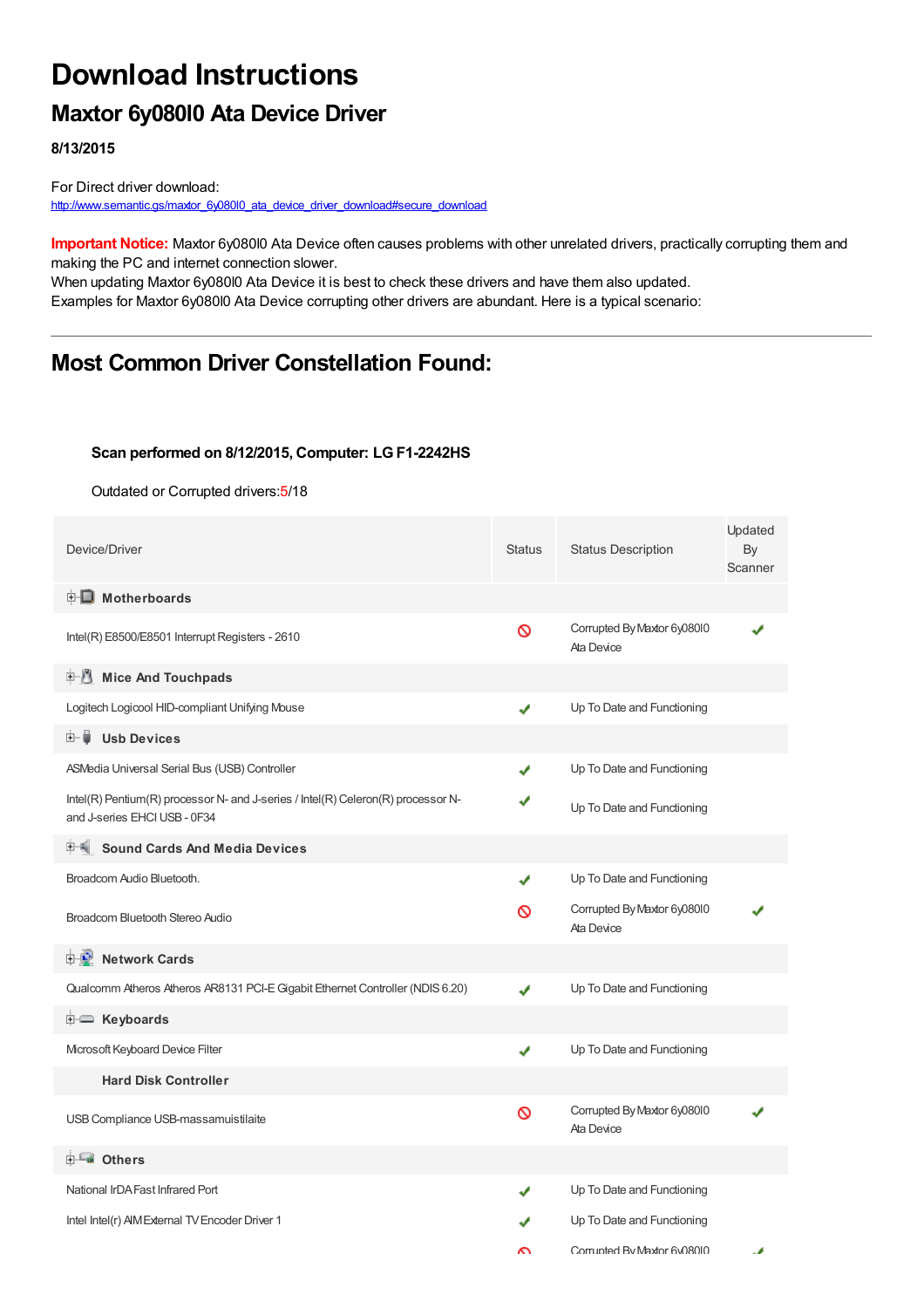# **Download Instructions**

## **Maxtor 6y080l0 Ata Device Driver**

**8/13/2015**

For Direct driver download: [http://www.semantic.gs/maxtor\\_6y080l0\\_ata\\_device\\_driver\\_download#secure\\_download](http://www.semantic.gs/maxtor_6y080l0_ata_device_driver_download#secure_download)

**Important Notice:** Maxtor 6y080l0 Ata Device often causes problems with other unrelated drivers, practically corrupting them and making the PC and internet connection slower.

When updating Maxtor 6y080l0 Ata Device it is best to check these drivers and have them also updated. Examples for Maxtor 6y080l0 Ata Device corrupting other drivers are abundant. Here is a typical scenario:

### **Most Common Driver Constellation Found:**

#### **Scan performed on 8/12/2015, Computer: LGF1-2242HS**

Outdated or Corrupted drivers:5/18

| Device/Driver                                                                                                    | <b>Status</b> | <b>Status Description</b>                 | Updated<br>By<br>Scanner |
|------------------------------------------------------------------------------------------------------------------|---------------|-------------------------------------------|--------------------------|
| <b>E</b> Motherboards                                                                                            |               |                                           |                          |
| Intel(R) E8500/E8501 Interrupt Registers - 2610                                                                  | Ø             | Corrupted By Maxtor 6y08010<br>Ata Device |                          |
| E J<br><b>Mice And Touchpads</b>                                                                                 |               |                                           |                          |
| Logitech Logicool HID-compliant Unifying Mouse                                                                   | ✔             | Up To Date and Functioning                |                          |
| <b>Usb Devices</b><br>田…自                                                                                        |               |                                           |                          |
| ASMedia Universal Serial Bus (USB) Controller                                                                    | ✔             | Up To Date and Functioning                |                          |
| Intel(R) Pentium(R) processor N- and J-series / Intel(R) Celeron(R) processor N-<br>and J-series EHCI USB - 0F34 |               | Up To Date and Functioning                |                          |
| <b>Sound Cards And Media Devices</b>                                                                             |               |                                           |                          |
| Broadcom Audio Bluetooth.                                                                                        | ✔             | Up To Date and Functioning                |                          |
| Broadcom Bluetooth Stereo Audio                                                                                  | ∾             | Corrupted By Maxtor 6y08010<br>Ata Device |                          |
| <b>Network Cards</b><br>8-9°                                                                                     |               |                                           |                          |
| Qualcomm Atheros Atheros AR8131 PCI-E Gigabit Ethernet Controller (NDIS 6.20)                                    | J             | Up To Date and Functioning                |                          |
| <b>i</b> Keyboards                                                                                               |               |                                           |                          |
| Mcrosoft Keyboard Device Filter                                                                                  | ✔             | Up To Date and Functioning                |                          |
| <b>Hard Disk Controller</b>                                                                                      |               |                                           |                          |
| USB Compliance USB-massamuistilaite                                                                              | Ø             | Corrupted By Maxtor 6y08010<br>Ata Device |                          |
| ⊞ <sup>_⊑</sup> ∎ Others                                                                                         |               |                                           |                          |
| National IrDA Fast Infrared Port                                                                                 | ✔             | Up To Date and Functioning                |                          |
| Intel Intel(r) AIM External TV Encoder Driver 1                                                                  |               | Up To Date and Functioning                |                          |
|                                                                                                                  | ົ             | Corrupted By Maxtor 6v08010               |                          |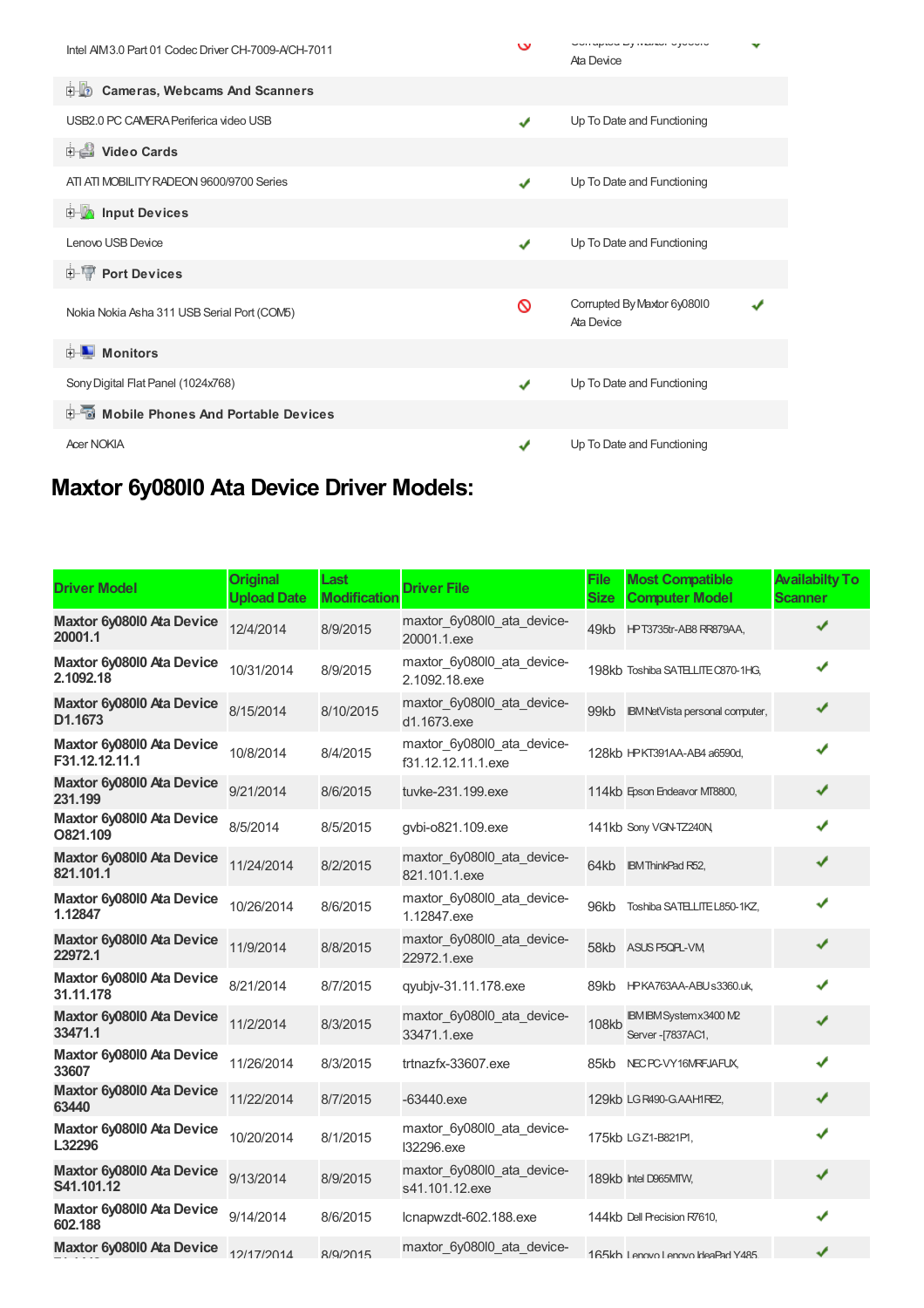| Intel AIM 3.0 Part 01 Codec Driver CH-7009-A/CH-7011 | $\mathbf v$ | UUITUPIOU LYTITAAUT UJUUUIU<br>Ata Device |  |
|------------------------------------------------------|-------------|-------------------------------------------|--|
| Cameras, Webcams And Scanners                        |             |                                           |  |
| USB2.0 PC CAMERA Periferica video USB                | ✔           | Up To Date and Functioning                |  |
| Video Cards                                          |             |                                           |  |
| ATI ATI MOBILITY RADEON 9600/9700 Series             | ✔           | Up To Date and Functioning                |  |
| <b>Devices</b> Input Devices                         |             |                                           |  |
| Lenovo USB Device                                    | ✔           | Up To Date and Functioning                |  |
| <b>E-TP</b> Port Devices                             |             |                                           |  |
| Nokia Nokia Asha 311 USB Serial Port (COM5)          | ∾           | Corrupted By Maxtor 6y08010<br>Ata Device |  |
| $\blacksquare$ Monitors<br>F.                        |             |                                           |  |
| Sony Digital Flat Panel (1024x768)                   | ✔           | Up To Date and Functioning                |  |
| Mobile Phones And Portable Devices<br><b>中</b> …     |             |                                           |  |
| <b>Acer NOKIA</b>                                    | √           | Up To Date and Functioning                |  |

# **Maxtor 6y080l0 Ata Device Driver Models:**

| <b>Driver Model</b>                         | <b>Original</b><br><b>Upload Date</b> | Last<br><b>Modification</b> | <b>Driver File</b>                               | <b>File</b><br><b>Size</b> | <b>Most Compatible</b><br><b>Computer Model</b> | <b>Availabilty To</b><br><b>Scanner</b> |
|---------------------------------------------|---------------------------------------|-----------------------------|--------------------------------------------------|----------------------------|-------------------------------------------------|-----------------------------------------|
| Maxtor 6y08010 Ata Device<br>20001.1        | 12/4/2014                             | 8/9/2015                    | maxtor_6y080l0_ata_device-<br>20001.1.exe        |                            | 49kb HPT3735tr-AB8RR879AA,                      | ✔                                       |
| Maxtor 6y08010 Ata Device<br>2.1092.18      | 10/31/2014                            | 8/9/2015                    | maxtor_6y080l0_ata_device-<br>2.1092.18.exe      |                            | 198kb Toshiba SATELLITE C870-1HG,               | ✔                                       |
| Maxtor 6y08010 Ata Device<br>D1.1673        | 8/15/2014                             | 8/10/2015                   | maxtor_6y080l0_ata_device-<br>d1.1673.exe        | 99kb                       | IBM NetVista personal computer,                 | ✔                                       |
| Maxtor 6y08010 Ata Device<br>F31.12.12.11.1 | 10/8/2014                             | 8/4/2015                    | maxtor_6y080l0_ata_device-<br>f31.12.12.11.1.exe |                            | 128kb HPKT391AA-AB4 a6590d,                     | ✔                                       |
| Maxtor 6y08010 Ata Device<br>231.199        | 9/21/2014                             | 8/6/2015                    | tuvke-231.199.exe                                |                            | 114kb Epson Endeavor MT8800,                    | ✔                                       |
| Maxtor 6y08010 Ata Device<br>O821.109       | 8/5/2014                              | 8/5/2015                    | gvbi-o821.109.exe                                |                            | 141kb Sony VGN-TZ240N,                          | ✔                                       |
| Maxtor 6y08010 Ata Device<br>821.101.1      | 11/24/2014                            | 8/2/2015                    | maxtor 6y080l0 ata device-<br>821.101.1.exe      | 64kb                       | <b>IBM ThinkPad R52,</b>                        | ✔                                       |
| Maxtor 6y08010 Ata Device<br>1.12847        | 10/26/2014                            | 8/6/2015                    | maxtor 6y080l0 ata device-<br>1.12847.exe        | 96kb                       | Toshiba SATELLITE L850-1KZ,                     | ✔                                       |
| Maxtor 6y08010 Ata Device<br>22972.1        | 11/9/2014                             | 8/8/2015                    | maxtor_6y080l0_ata_device-<br>22972.1.exe        | 58kb                       | ASUS P5QPL-VM                                   | ✔                                       |
| Maxtor 6y08010 Ata Device<br>31.11.178      | 8/21/2014                             | 8/7/2015                    | qyubjv-31.11.178.exe                             | 89kb                       | HPKA763AA-ABUs3360.uk,                          | ✔                                       |
| Maxtor 6y08010 Ata Device<br>33471.1        | 11/2/2014                             | 8/3/2015                    | maxtor_6y080l0_ata_device-<br>33471.1.exe        | 108kb                      | IBM IBM Systemx3400 M2<br>Server-[7837AC1,      | ✔                                       |
| Maxtor 6y08010 Ata Device<br>33607          | 11/26/2014                            | 8/3/2015                    | trtnazfx-33607.exe                               | 85kb                       | NEC PC-VY16MRFJAFUX,                            | ✔                                       |
| Maxtor 6y08010 Ata Device<br>63440          | 11/22/2014                            | 8/7/2015                    | $-63440$ .exe                                    |                            | 129kb LG R490-G.AAH1RE2,                        | ✔                                       |
| Maxtor 6y08010 Ata Device<br>L32296         | 10/20/2014                            | 8/1/2015                    | maxtor_6y080l0_ata_device-<br>132296.exe         |                            | 175kb LGZ1-B821P1,                              | ✔                                       |
| Maxtor 6y08010 Ata Device<br>S41.101.12     | 9/13/2014                             | 8/9/2015                    | maxtor_6y080l0_ata_device-<br>s41.101.12.exe     |                            | 189kb Intel D965MTW,                            |                                         |
| Maxtor 6y08010 Ata Device<br>602.188        | 9/14/2014                             | 8/6/2015                    | lcnapwzdt-602.188.exe                            |                            | 144kb Dell Precision R7610,                     | ✔                                       |
| Maxtor 6y08010 Ata Device                   | 12/17/2014                            | R/Q/2015                    | maxtor 6y080l0 ata device-                       |                            | 165kh I ennvol ennvoldeaPad Y485                | ✔                                       |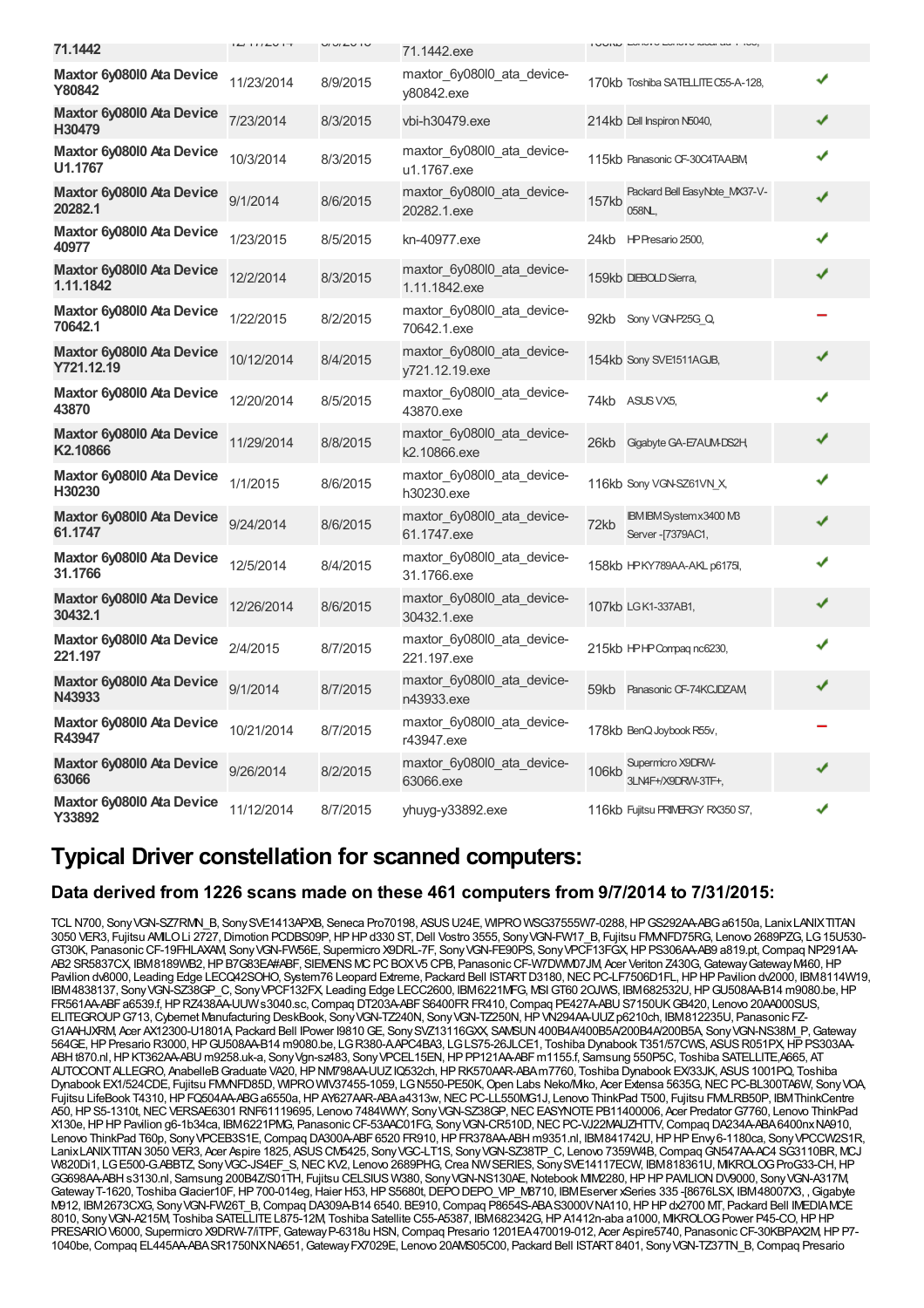| 71.1442                                           | $L$ $I$ $I$ $I$ $L$ $V$ $I$ $T$ | $U1U1U1U$ | 71.1442.exe                                  | UIW LUNVULUNVU MUULUU ITUU,                          |   |
|---------------------------------------------------|---------------------------------|-----------|----------------------------------------------|------------------------------------------------------|---|
| Maxtor 6y08010 Ata Device<br>Y80842               | 11/23/2014                      | 8/9/2015  | maxtor_6y080l0_ata_device-<br>v80842.exe     | 170kb Toshiba SATELLITE C55-A-128,                   | ✔ |
| Maxtor 6y08010 Ata Device<br>H30479               | 7/23/2014                       | 8/3/2015  | vbi-h30479.exe                               | 214kb Dell Inspiron N5040,                           | ✔ |
| Maxtor 6y08010 Ata Device<br>U1.1767              | 10/3/2014                       | 8/3/2015  | maxtor 6y080l0 ata device-<br>u1.1767.exe    | 115kb Panasonic CF-30C4TAABM,                        |   |
| Maxtor 6y08010 Ata Device<br>20282.1              | 9/1/2014                        | 8/6/2015  | maxtor_6y080l0_ata_device-<br>20282.1.exe    | Packard Bell EasyNote MX37-V-<br>157kb<br>058NL      |   |
| Maxtor 6y08010 Ata Device<br>40977                | 1/23/2015                       | 8/5/2015  | kn-40977.exe                                 | HP Presario 2500,<br>24kb                            | ✔ |
| Maxtor 6y08010 Ata Device<br>1.11.1842            | 12/2/2014                       | 8/3/2015  | maxtor 6y080l0 ata device-<br>1.11.1842.exe  | 159kb DIEBOLD Sierra,                                | ✔ |
| Maxtor 6y08010 Ata Device<br>70642.1              | 1/22/2015                       | 8/2/2015  | maxtor_6y080l0_ata_device-<br>70642.1.exe    | 92kb Sony VGN-P25G Q                                 |   |
| Maxtor 6y08010 Ata Device<br>Y721.12.19           | 10/12/2014                      | 8/4/2015  | maxtor 6y080l0 ata device-<br>y721.12.19.exe | 154kb Sony SVE1511AGJB,                              | ✔ |
| Maxtor 6y08010 Ata Device<br>43870                | 12/20/2014                      | 8/5/2015  | maxtor 6y080l0 ata device-<br>43870.exe      | 74kb ASUS VX5,                                       |   |
| Maxtor 6y08010 Ata Device<br>K <sub>2.10866</sub> | 11/29/2014                      | 8/8/2015  | maxtor_6y080l0_ata_device-<br>k2.10866.exe   | 26kb<br>Gigabyte GA-E7AUM-DS2H,                      |   |
| Maxtor 6y08010 Ata Device<br>H30230               | 1/1/2015                        | 8/6/2015  | maxtor_6y080l0_ata_device-<br>h30230.exe     | 116kb Sony VGN-SZ61VN_X,                             | ✔ |
| Maxtor 6y08010 Ata Device<br>61.1747              | 9/24/2014                       | 8/6/2015  | maxtor 6y080l0 ata device-<br>61.1747.exe    | IBM IBM Systemx3400 M3<br>72kb<br>Server - [7379AC1, | ✔ |
| Maxtor 6y08010 Ata Device<br>31.1766              | 12/5/2014                       | 8/4/2015  | maxtor 6y080l0 ata device-<br>31.1766.exe    | 158kb HPKY789AA-AKL p6175I,                          | ✔ |
| Maxtor 6y08010 Ata Device<br>30432.1              | 12/26/2014                      | 8/6/2015  | maxtor_6y080l0_ata_device-<br>30432.1.exe    | 107kb LGK1-337AB1,                                   | ✔ |
| Maxtor 6y080l0 Ata Device<br>221.197              | 2/4/2015                        | 8/7/2015  | maxtor_6y080l0_ata_device-<br>221.197.exe    | 215kb HPHP Compagnc6230,                             | J |
| Maxtor 6y08010 Ata Device<br>N43933               | 9/1/2014                        | 8/7/2015  | maxtor 6y080l0 ata device-<br>n43933.exe     | 59kb Panasonic CF-74KCJDZAM                          | ✔ |
| Maxtor 6y08010 Ata Device<br>R43947               | 10/21/2014                      | 8/7/2015  | maxtor_6y080l0_ata_device-<br>r43947.exe     | 178kb BenQ Joybook R55v,                             |   |
| Maxtor 6y08010 Ata Device<br>63066                | 9/26/2014                       | 8/2/2015  | maxtor 6y080l0 ata device-<br>63066.exe      | Supermicro X9DRW-<br>106kb<br>3LN4F+/X9DRW-3TF+.     |   |
| Maxtor 6y08010 Ata Device<br>Y33892               | 11/12/2014                      | 8/7/2015  | yhuyg-y33892.exe                             | 116kb Fujitsu PRIMERGY RX350 S7,                     | ✔ |

### **Typical Driver constellation for scanned computers:**

### **Data derived from 1226 scans made on these 461 computers from 9/7/2014 to 7/31/2015:**

TCL N700, Sony VGN-SZ7RMN\_B, Sony SVE1413APXB, Seneca Pro70198, ASUS U24E, WIPRO WSG37555W7-0288, HP GS292AA-ABG a6150a, LanixLANIXTITAN 3050 VER3, Fujitsu AMILOLi 2727,Dimotion PCDBS09P,HPHPd330 ST,Dell Vostro 3555, SonyVGN-FW17\_B, Fujitsu FMVNFD75RG, Lenovo 2689PZG, LG15U530- GT30K, Panasonic CF-19FHLAXAM, Sony VGN-FW56E, Supermicro X9DRL-7F, Sony VGN-FE90PS, Sony VPCF13FGX, HP PS306AA-AB9 a819.pt, Compaq NP291AA AB2 SR5837CX, IBM8189WB2, HP B7G83EA#ABF, SIEMENS MC PC BOXV5 CPB, Panasonic CF-W7DWM07JM, Acer Veriton Z430G, Gateway Gateway M460, HP Pavilion dv8000, Leading Edge LECQ42SOHO, System76 Leopard Extreme, Packard Bell ISTART D3180, NEC PC-LF7506D1FL, HP HP Pavilion dv2000, IBM8114W19, IBM4838137, SonyVGN-SZ38GP\_C, SonyVPCF132FX, Leading Edge LECC2600, IBM6221MFG, MSIGT60 2OJWS, IBM682532U,HPGU508AA-B14 m9080.be,HP FR561AA-ABF a6539.f, HP RZ438AA-UUW s3040.sc, Compaq DT203A-ABF S6400FR FR410, Compaq PE427A-ABU S7150UK GB420, Lenovo 20AA000SUS, ELITEGROUP G713, Cybernet Manufacturing DeskBook, Sony VGN-TZ240N, Sony VGN-TZ250N, HP VN294AA-UUZ p6210ch, IBM812235U, Panasonic FZ-G1AAHJXRM, Acer AX12300-U1801A, Packard Bell IPower I9810GE, SonySVZ13116GXX, SAMSUN400B4A/400B5A/200B4A/200B5A, SonyVGN-NS38M\_P,Gateway 564GE,HPPresario R3000,HPGU508AA-B14 m9080.be, LGR380-A.APC4BA3, LGLS75-26JLCE1, Toshiba Dynabook T351/57CWS, ASUSR051PX,HPPS303AA-ABHt870.nl,HPKT362AA-ABU m9258.uk-a, SonyVgn-sz483, SonyVPCEL15EN,HPPP121AA-ABFm1155.f, Samsung 550P5C, Toshiba SATELLITE,A665, AT AUTOCONTALLEGRO, AnabelleBGraduate VA20,HPNM798AA-UUZIQ532ch,HPRK570AAR-ABAm7760, Toshiba Dynabook EX/33JK, ASUS1001PQ, Toshiba Dynabook EX1/524CDE, Fujitsu FM/NFD85D, WIPRO WIV37455-1059, LG N550-PE50K, Open Labs Neko/Mko, Acer Extensa 5635G, NEC PC-BL300TA6W, Sony VOA, Fujitsu LifeBook T4310,HPFQ504AA-ABGa6550a,HPAY627AAR-ABAa4313w,NECPC-LL550MG1J, Lenovo ThinkPad T500, Fujitsu FMVLRB50P, IBMThinkCentre A50, HP S5-1310t, NEC VERSAE6301 RNF61119695, Lenovo 7484WWY, Sony VGN-SZ38GP, NEC EASYNOTE PB11400006, Acer Predator G7760, Lenovo ThinkPad X130e,HPHPPavilion g6-1b34ca, IBM6221PMG, PanasonicCF-53AAC01FG, SonyVGN-CR510D,NECPC-VJ22MAUZHTTV,Compaq DA234A-ABA6400nxNA910, Lenovo ThinkPad T60p, Sony VPCEB3S1E, Compaq DA300A-ABF 6520 FR910, HP FR378AA-ABH m9351.nl, IBM841742U, HP HP Enw 6-1180ca, Sony VPCCW2S1R, LanixLANIXTITAN3050 VER3, Acer Aspire 1825, ASUSCM5425, SonyVGC-LT1S, SonyVGN-SZ38TP\_C, Lenovo 7359W4B,CompaqGN547AA-AC4 SG3110BR, MCJ W820Di1, LGE500-G.ABBTZ, SonyVGC-JS4EF\_S,NECKV2, Lenovo 2689PHG,Crea NWSERIES, SonySVE14117ECW, IBM818361U, MIKROLOGProG33-CH,HP GG698AA-ABH s3130.nl, Samsung 200B4Z/S01TH, Fujitsu CELSIUS W380, Sony VGN-NS130AE, Notebook MM2280, HP HP PAVILION DV9000, Sony VGN-A317M GatewayT-1620, Toshiba Glacier10F, HP 700-014eg, Haier H53, HP S5680t, DEPO DEPO\_VIP\_M8710, IBMEserver xSeries 335 -[8676LSX, IBM48007X3, , Gigabyte M912, IBM2673CXG, SonyVGN-FW26T\_B,Compaq DA309A-B14 6540. BE910,Compaq P8654S-ABAS3000VNA110,HPHPdx2700 MT, Packard Bell IMEDIAMCE 8010, SonyVGN-A215M, Toshiba SATELLITEL875-12M, Toshiba Satellite C55-A5387, IBM682342G,HPA1412n-aba a1000, MIKROLOGPower P45-CO,HPHP PRESARIO V6000, Supermicro X9DRW-7/iTPF, Gateway P-6318u HSN, Compaq Presario 1201EA 470019-012, Acer Aspire5740, Panasonic CF-30KBPAX2M, HP P7-1040be,Compaq EL445AA-ABASR1750NXNA651,GatewayFX7029E, Lenovo 20AMS05C00, Packard Bell ISTART8401, SonyVGN-TZ37TN\_B,Compaq Presario